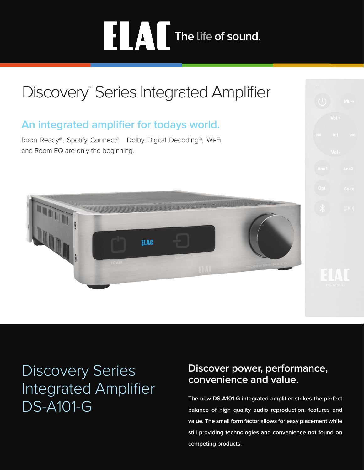# **ELAC** The life of sound.

# Discovery<sup>™</sup> Series Integrated Amplifier

## **An integrated amplifier for todays world.**

Roon Ready®, Spotify Connect®, Dolby Digital Decoding®, Wi-Fi, and Room EQ are only the beginning.



## Discovery Series Integrated Amplifier DS-A101-G

## **Discover power, performance, convenience and value.**

**The new DS-A101-G integrated amplifier strikes the perfect balance of high quality audio reproduction, features and value. The small form factor allows for easy placement while still providing technologies and convenience not found on competing products.**